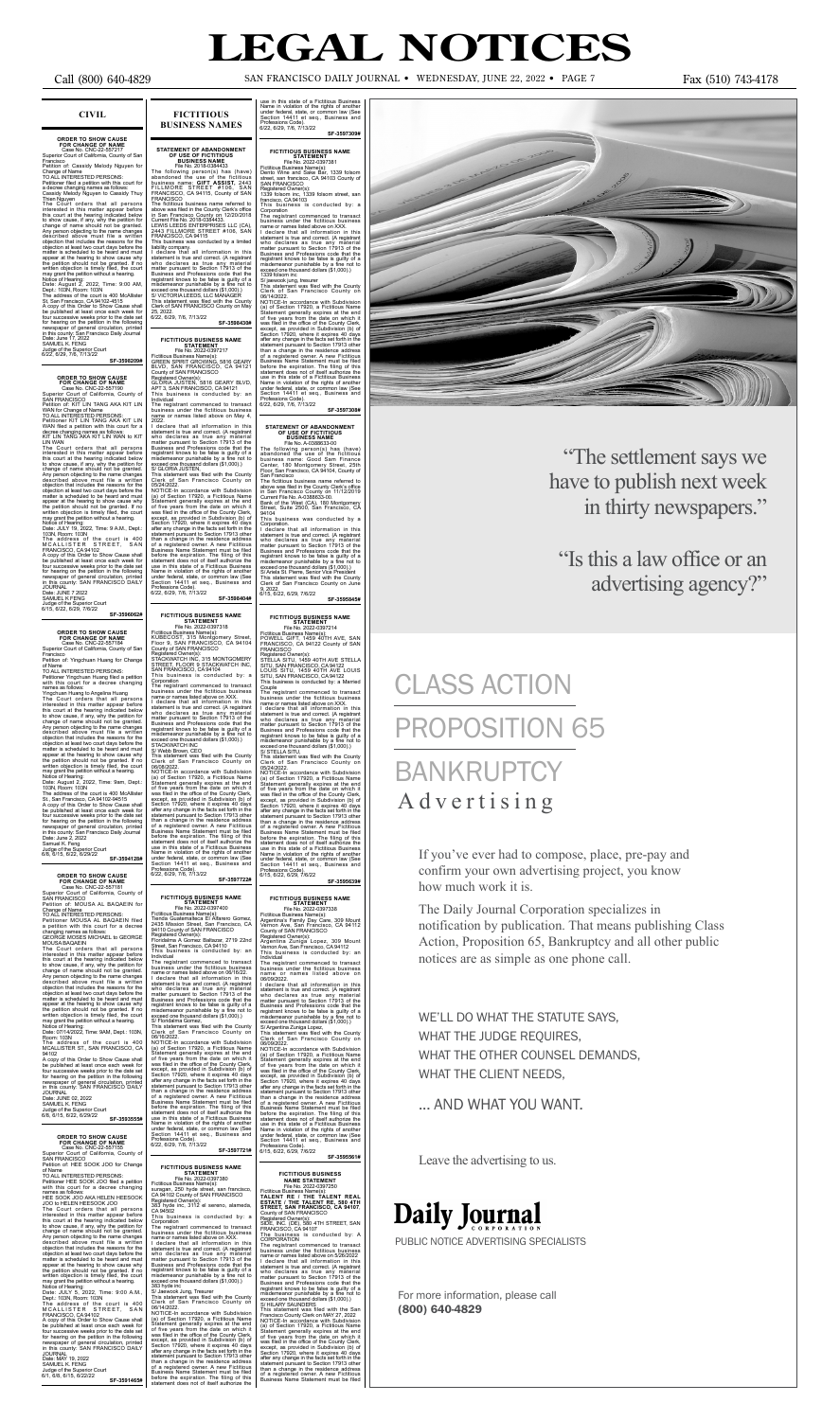## **CIVIL**

**ORDER TO SHOW CAUSE<br>FOR CHANGE OF NAME<br>Case No. CNC-22-557217<br>Superior Court of California, County of San** Francisco Petition of: Cassidy Melody Nguyen for

Change of Name<br>To ALL INTERESTED PERSONS:<br>To ALL INTERESTED PERSONS:<br>a decree changing names as follows:<br>Cassidy Melody Nguyen to Cassidy Thuy<br>Then Nguyen to Cassidy Thuy<br>The Court orders that all persons intersed in this

**SF-3598209#**

**ORDER TO SHOW CAUSE<br>
FOR CHANGE OF NAME<br>
Case No. CNC-22-557190<br>
Superior Court of California, County of<br>
SAN FRANCISCO** 

Petition of: KIT LIN TANG AKA KIT LIN<br>WAN for Change of Name<br>TO ALL INTERESTED PERSONS:<br>Petitioner KIT LIN TANG AKA KIT LIN<br>WAN filed a petition with this court for a<br>decree changing names as follows:<br>KIT LIN TANG AKA KIT

LIN WAN<br>The Court orders that all persons<br>interested in this matter appear before<br>this court at the hearing indicated below<br>to show cause, if any, why the petition for<br>change of name should not be granted.<br>Any person objec objection that includes the reasons for the<br>objection at least two court days before the<br>matter is scheduled to be heard and must<br>appear at the hearing to show cause why<br>the petition should not be granted. If no<br>written ob

St., San Francisco, CA 94102-94515 opy of this Order to

MOUSA BAQAEIN<br>The Court orders that all persons<br>interested in this matter appear before<br>this court at the hearing indicated below<br>to show cause, if any, why the petition for<br>change of name should not be granted.<br>Any person described above must file a written objection that includes the reasons for the objection at least two court days before the matter is scheduled to be heard and must appear at the hearing to show cause why the petition should not be granted. If no written objection is timely filed, the court may grant the petition without a hearing.

Room: 103N<br>The addre The address of the court is 400 MCALLISTER ST., SAN FRANCISCO, CA

94102 A copy of this Order to Show Cause shall be published at least once each week for four successive weeks prior to the date set for hearing on the petition in the following newspaper of general circulation, printed in this county: SAN FRANCISCO DAILY **JOURNAL** 

Date: JUNE 7 2022 SAMUEL K FENG

Judge of the Superior Court 6/15, 6/22, 6/29, 7/6/22

## **SF-3596062#**

## **ORDER TO SHOW CAUSE<br>FOR CHANGE OF NAME<br>Case No. CNC-22-557184<br>Superior Court of California, County of San**

**Francisco** Petition of: Yingchuan Huang for Change<br>of Name

of Name<br>TO ALL INTERESTED PERSONS:<br>Petitioner Yingchuan Huang filed a petition<br>with this court for a decree changing<br>names as follows:<br>Yingchuan Huang to Angelina Huang<br>The Court orders that all persons<br>this court at the h to show cause, if any, why the petition for change of name should not be granted. Any person objecting to the name changes described above must file a written objection that includes the reasons for the objection at least two court days before the matter is scheduled to be heard and must<br>appear at the hearing to show cause why<br>the petition should not be granted. If no<br>written objection is timely filed, the court<br>may grant the petition without a hearing.<br>Notice of He

the petition should not be granted. If no<br>written objection is timely filed, the court<br>may grant the petition without a hearing.<br>Notice of Hearing:<br>Date: JULY 5, 2022, Time: 9:00 A.M.,<br>Dept.: 103N, Room: 103N<br>Dept.: 103N, for hearing on the petition in the following newspaper of general circulation, printed in this county: SAN FRANCISCO DAILY JOURNAL

be published at least once each week for four successive weeks prior to the date set for hearing on the petition in the following newspaper of general circulation, printed in this county: San Francisco Daily Journal Date: June 2, 2022 Samuel K. Feng<br>Judge of the Sup Judge of the Superior Court 6/8, 6/15, 6/22, 6/29/22 **SF-3594128#**

**FOR CHANGE OF NAME**<br>
FOR CHANGE OF NAME<br>
Case No. CNC-22-557181<br>
Superior Court of California, County of<br>
SAN FRANCISCO<br>
Petition of: MOUSA AL BAQAEIN for<br>
Change of Name<br>
TO ALL INTERESTED PERSONS:

Petitioner MOUSA AL BAQAEIN filed a petition with this court for a decree changing names as follows: GEORGE MOSES MICHAEL to GEORGE

Notice of Hearing: Date: 07/14/2022, Time: 9AM, Dept.: 103N,

Date: JUNE 02, 2022 SAMUEL K. FENG Judge of the Superior Court 6/8, 6/15, 6/22, 6/29/22 **SF-3593555#**

**ORDER TO SHOW CAUSE**<br>
FOR CHANGE OF NAME<br>
Case No. CNC-22-557155<br>
Superior Court of California, County of<br>
SAN FRANCISCO<br>
Petition of: HEE SOOK JOO for Change

of Name TO ALL INTERESTED PERSONS: Petitioner HEE SOOK JOO filed a petition with this court for a decree changing

names as follows: HEE SOOK JOO AKA HELEN HEESOOK

JOO to HELEN HEESOOK JOO<br>The Court orders that all persons<br>interested in this matter appear before<br>this court at the hearing indicated below<br>to show cause, if any, why the petition for<br>change of name should not be granted. objection at least two court days before the matter is scheduled to be heard and must appear at the hearing to show cause why<br>the petition should not be granted. If no

statement is true and correct. (A registrant who declares as true any material<br>matter pursuant to Section 17913 of the<br>Business and Professions code that the<br>registrant knows to be false is guilty of a<br>misdemeanor punishable by a fine not to<br>exceed one thousand doll

383 hyde inc<br>
Sy Jaevook Jung, Tresurer<br>
Sy Jaevook Jung, Tresurer<br>
This statement was filed with the County on<br>
Clerk of San Francisco County on<br>
00/14/2022.<br>
NOTICE-In accordance with Subdivision<br>
NOIDCE-In accordance wi

Date: MAY 19, 2022 SAMUEL K. FENG Judge of the Superior Court 6/1, 6/8, 6/15, 6/22/22 **SF-3591465#**

**FICTITIOUS BUSINESS NAMES**

STATEMENT OF ABANDONMENT<br>
OF USE OF FICTITIOUS<br>
DUSINESS NAME<br>
The No. 2018-0384433<br>
The following person(s) has (have)<br>
abandoned the use of the fictitious<br>
business name: GIFT ASSIST, 2443<br>
FRANCISCO, CA 94115, County of

I declare that all information in this statement is two declares as true any omaterial who declares as true any material matter pursuant to Section 17913 of the registrant knows to be false is guilty of a missilement puni

FICTITIOUS BUSINESS NAME<br>
File No. 2022-0397217<br>
Fictitious Business Name(s):<br>
Fictitious Business Name(s):<br>
GREEN SPIRIT GROWING, 5816 GEARY<br>
BLVD, SAN FRANCISCO, CA 94121<br>
County of SAN FRANCISCO, CA 94121<br>
GLORIA JUSTEN

NOTICE-In accordance with Subdivision (a) of Section 17920, a Ficitious Name<br>Statement generally expires at the end<br>of five years from the date on which it<br>was filed in the office of the County Clerk,<br>except, as provided i than a change in the residence address<br>of a registered owner. A new Fictitious<br>Business Name Statement must be filed<br>before the expiration. The filing of this<br>statement does not of itself authorize the<br>state of a Fictitiou under federal, state, or common law (See Section 14411 et seq., Business and Professions Code). 6/22, 6/29, 7/6, 7/13/22

The registrant commenced to transact business under the fictitious business name or names listed above on May 4, 2022.

NOTICE-In accordance with Subdivision<br>(a) of Section 17920, a Ficilitious Name<br>Statement generally expires at the end<br>of five years from the date on which it<br>was filed in the office of the County Clerk,<br>except, as provided

The registrant commenced to transact business under the fictitious business name or names listed above on XXX. I declare that all information in this statement is true and correct. (A registrant<br>who declares as true any material<br>matter pursuant to Section 17913 of the<br>Business and Professions code that the<br>registrant knows to be false is guilty of a<br>misdemeanor punishab

This business is conducted by: a<br>Corporation<br>Corporation<br>The registrant commenced to transact<br>business under the fictitious business<br>name or names listed above on XXX.<br>It declare that all information in this<br>statement is t **SF-3597722#** after any change in the facts set forth in the statement pursuant to Section 17913 other

FICTITIOUS BUSINESS NAME<br>
Fiel No. 2022-0397400<br>
Fiel No. 2022-0397400<br>
Tenda Guatemalteca El Alfarero Gomez,<br>
Terditous Business Name(s):<br>
2435 Mission Street, San Francisco, CA<br>
94110 County of SAN FRANCISCO<br>
Registered

NOTICE-In accordance with Subdivision (a) of Section 17920, a Ficilitious Name<br>Statement generally expires at the end<br>of five years from the date on which it<br>was field in the office of the County Clerk,<br>except, as provided

FICTITIOUS BUSINESS NAME<br>
File No. 2022-0397380<br>
Ficitious Business Name(s):<br>
Ficitious Business Name(s):<br>
Surgan, 250 hyde street, san francisco,<br>
CA 94102 County of SAN FRANCISCO<br>
Registered Owner(s):<br>
CA 94502<br>
CA 94502

than a change in the residence address<br>of a registered owner. A new Fictitious<br>Business Name Statement must be filed<br>before the expiration. The filing of this<br>statement does not of itself authorize the<br>use in this state of Name in violation of the rights of another under federal, state, or common law (See Section 14411 et seq., Business and Professions Code). 6/15, 6/22, 6/29, 7/6/22 **SF-3595639#**

# **FICTITIOUS BUSINESS NAME**<br>
File No. 2022-0397338<br>Fictitious Business Name(s):<br>
Argentina's Family Day Care, 309 Mount<br>
Argentina's Family Day Care, 309 Mount<br>
County of SAN FRANCISCO<br>
County of SAN FRANCISCO

**SF-3598404#**

FICTITIOUS BUSINESS NAME<br>
File No. 2022-0397381<br>
Frictitious Business Name(s):<br>
Frictitious Business Name(s):<br>
Dento Wine and Sake Bar, 1339 folsom<br>
street, san francisco, CA 94103 County of<br>
SAN FRANCISCO<br>
1339 folsom inc

## **FICTITIOUS BUSINESS NAME STATEMENT**<br>File No. 2022-0397250

File <sup>File</sup> No. 2022-0397250<br>Fictitious Business Name(s):<br>**TALENT RE / THE TALENT REAL<br>STATE / THE TALENT REAL STREET, SAN FRANCISCO, CA 94107,<br>STREET, SAN FRANCISCO, CA 94107,<br>Registered Owner(s):<br>SISE, INC. (DE), 580 4TH** 

business under the fictitious business<br>name or names listed above on 5/26/2022<br>I declare that all information in this<br>statement is true and correct. (A registrant matter pursuant to Section 17913 of the<br>matter pursuant to

# **BANKRUPTCY** Advertising

This business is conducted by: a

Corporation The registrant commenced to transact business under the fictitious business name or names listed above on XXX. I declare that all information in this

## use in this state of a Fictitious Business Name in violation of the rights of another under federal, state, or common law (See Section 14411 et seq., Business and Professions Code). Section 14411 et seq<br>Professions Code).<br>6/22, 6/29, 7/6, 7/13/22 **SF-3597309#**

Corporation The registrant commenced to transact business under the fictitious business name or names listed above on XXX. I declare that all information in this statement is true and correct. (A registrant

who declares as true any material<br>matter pursuant to Section 17913 of the<br>Business and Professions code that the<br>registrant knows to be false is guilty of a<br>misdemeanor punishable by a fine not to<br>exceed one thousand dolla

S/ jaewook jung, tresurer This statement was filed with the County Clerk of San Francisco County on 06/14/2022.

**SF-3597308#**

I declare that all information in this<br>statement is true and correct. (A registrant<br>who declares as true any material<br>matter pursuant to Section 17913 of the<br>Business and Professions code that the<br>registrant knows to be fa This statement was filed with the County Clerk of San Francisco County on 05/24/2022. STATEMENT OF ABANDONMENT<br>
OF USE OF FICTITIOUS<br>
BUSINESS NAME<br>
File No. A-0388633-00<br>
The following person(s) has (have)<br>
abandoned the use of the fictitious<br>
business name: Good Sam Finance<br>
Center, 180 Montgomery Street,

San Francisco<br>The fictitious business name referred to<br>above was filed in the County Clerk's office<br>in San Francisco County on 11/12/2019<br>Current File No. A-0388633-00.<br>Bank of the West (CA), 180 Montgomery<br>Street, Suite 2

Corporation.<br>
Corporation in this statement is true and correct. (A registrant who declares as true any material matter pursuant to Section 17913 of the Business and Professions code that the registrant knows to be false

FICTITIOUS BUSINESS NAME<br>
File No. 2022-0397318<br>Fictitious Business Name(s):<br>
KUBECOST, 315 Montgomery Street,<br>
KUBECOST, 315 Montgomery Street,<br>
Floor 9, SAN FRANCISCO, CA 94104<br>
County of SAN FRANCISCO Registered Owner(s): STACKWATCH INC, 315 MONTGOMERY STREET, FLOOR 9 STACKWATCH INC, SAN FRANCISCO, CA 94104 **FICTITIOUS BUSINESS NAME<br>
File No. 2022-0397214**<br>Fictitious Business Name(s):<br>POWELL GIFT, 1459 40TH AVE, SAN<br>POWELL GIFT, 1459 40TH AVE, SAN<br>FRANCISCO, CA 94122 County of SAN<br>FRANCISCO

Registered Owner(s): STELLA SITU, 1459 40TH AVE STELLA SITU, SAN FRANCISCO, CA 94122 LOUIS SITU, 1459 40TH AVE LOUIS SITU, SAN FRANCISCO, CA 94122 This business is conducted by: a Married Couple

This statement was filed with the County Clerk of San Francisco County on

05/24/2022.<br>NOTICE-In accordance with Subdivision<br>Na) of Section 17920, a Fictitious Name<br>Statement generally expires at the end<br>of five years from the date on which it<br>was filed in the office of the County Clerk,<br>except,



Registered Owner(s): Argentina Zuniga Lopez, 309 Mount Vernon Ave, San Francisco, CA 94112 This business is conducted by: an

Individual The registrant commenced to transact business under the fictitious business name or names listed above on 06/09/2022.

I declare that all information in this statement is true and correct. (A registrant who declares as true any material matter pursuant to Section 17913 of the misdemeanor punishable by a fine not to exceed one thousand coll

**SF-3595561#**

# **LEGAL NOTICES**

Call (800) 640-4829 san francisco Daily Journal •WEDNESDAY, JUNE 22, 2022 •Page 7 Fax (510) 743-4178

If you've ever had to compose, place, pre-pay and confirm your own advertising project, you know how much work it is.

The Daily Journal Corporation specializes in notification by publication. That means publishing Class Action, Proposition 65, Bankruptcy and all other public notices are as simple as one phone call.

WE'LL DO WHAT THE STATUTE SAYS, WHAT THE JUDGE REQUIRES, WHAT THE OTHER COUNSEL DEMANDS, WHAT THE CLIENT NEEDS,

... AND WHAT YOU WANT.

Leave the advertising to us.



PUBLIC NOTICE ADVERTISING SPECIALISTS

"The settlement says we have to publish next week in thirty newspapers."

"Is this a law office or an advertising agency?"

# CLASS ACTION PROPOSITION 65

For more information, please call (800) 640-4829